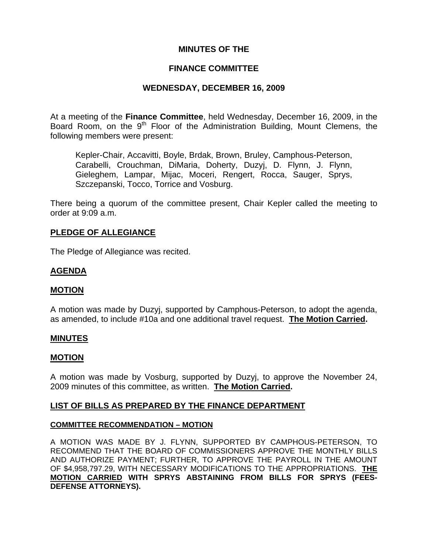# **MINUTES OF THE**

## **FINANCE COMMITTEE**

# **WEDNESDAY, DECEMBER 16, 2009**

At a meeting of the **Finance Committee**, held Wednesday, December 16, 2009, in the Board Room, on the  $9<sup>th</sup>$  Floor of the Administration Building, Mount Clemens, the following members were present:

Kepler-Chair, Accavitti, Boyle, Brdak, Brown, Bruley, Camphous-Peterson, Carabelli, Crouchman, DiMaria, Doherty, Duzyj, D. Flynn, J. Flynn, Gieleghem, Lampar, Mijac, Moceri, Rengert, Rocca, Sauger, Sprys, Szczepanski, Tocco, Torrice and Vosburg.

There being a quorum of the committee present, Chair Kepler called the meeting to order at 9:09 a.m.

# **PLEDGE OF ALLEGIANCE**

The Pledge of Allegiance was recited.

# **AGENDA**

## **MOTION**

A motion was made by Duzyj, supported by Camphous-Peterson, to adopt the agenda, as amended, to include #10a and one additional travel request. **The Motion Carried.** 

#### **MINUTES**

#### **MOTION**

A motion was made by Vosburg, supported by Duzyj, to approve the November 24, 2009 minutes of this committee, as written. **The Motion Carried.** 

## **LIST OF BILLS AS PREPARED BY THE FINANCE DEPARTMENT**

#### **COMMITTEE RECOMMENDATION – MOTION**

A MOTION WAS MADE BY J. FLYNN, SUPPORTED BY CAMPHOUS-PETERSON, TO RECOMMEND THAT THE BOARD OF COMMISSIONERS APPROVE THE MONTHLY BILLS AND AUTHORIZE PAYMENT; FURTHER, TO APPROVE THE PAYROLL IN THE AMOUNT OF \$4,958,797.29, WITH NECESSARY MODIFICATIONS TO THE APPROPRIATIONS. **THE MOTION CARRIED WITH SPRYS ABSTAINING FROM BILLS FOR SPRYS (FEES-DEFENSE ATTORNEYS).**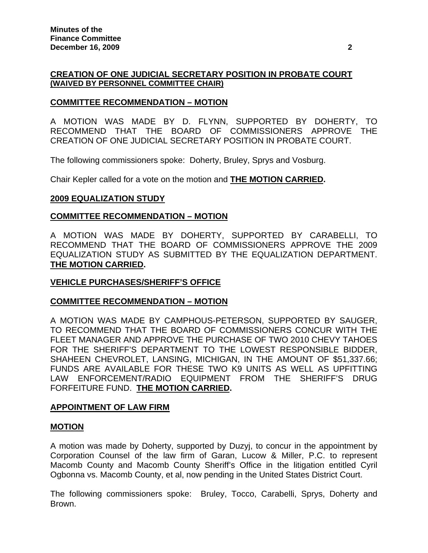# **CREATION OF ONE JUDICIAL SECRETARY POSITION IN PROBATE COURT (WAIVED BY PERSONNEL COMMITTEE CHAIR)**

# **COMMITTEE RECOMMENDATION – MOTION**

A MOTION WAS MADE BY D. FLYNN, SUPPORTED BY DOHERTY, TO RECOMMEND THAT THE BOARD OF COMMISSIONERS APPROVE THE CREATION OF ONE JUDICIAL SECRETARY POSITION IN PROBATE COURT.

The following commissioners spoke: Doherty, Bruley, Sprys and Vosburg.

Chair Kepler called for a vote on the motion and **THE MOTION CARRIED.** 

## **2009 EQUALIZATION STUDY**

#### **COMMITTEE RECOMMENDATION – MOTION**

A MOTION WAS MADE BY DOHERTY, SUPPORTED BY CARABELLI, TO RECOMMEND THAT THE BOARD OF COMMISSIONERS APPROVE THE 2009 EQUALIZATION STUDY AS SUBMITTED BY THE EQUALIZATION DEPARTMENT. **THE MOTION CARRIED.** 

## **VEHICLE PURCHASES/SHERIFF'S OFFICE**

## **COMMITTEE RECOMMENDATION – MOTION**

A MOTION WAS MADE BY CAMPHOUS-PETERSON, SUPPORTED BY SAUGER, TO RECOMMEND THAT THE BOARD OF COMMISSIONERS CONCUR WITH THE FLEET MANAGER AND APPROVE THE PURCHASE OF TWO 2010 CHEVY TAHOES FOR THE SHERIFF'S DEPARTMENT TO THE LOWEST RESPONSIBLE BIDDER, SHAHEEN CHEVROLET, LANSING, MICHIGAN, IN THE AMOUNT OF \$51,337.66; FUNDS ARE AVAILABLE FOR THESE TWO K9 UNITS AS WELL AS UPFITTING LAW ENFORCEMENT/RADIO EQUIPMENT FROM THE SHERIFF'S DRUG FORFEITURE FUND. **THE MOTION CARRIED.** 

#### **APPOINTMENT OF LAW FIRM**

#### **MOTION**

A motion was made by Doherty, supported by Duzyj, to concur in the appointment by Corporation Counsel of the law firm of Garan, Lucow & Miller, P.C. to represent Macomb County and Macomb County Sheriff's Office in the litigation entitled Cyril Ogbonna vs. Macomb County, et al, now pending in the United States District Court.

The following commissioners spoke: Bruley, Tocco, Carabelli, Sprys, Doherty and Brown.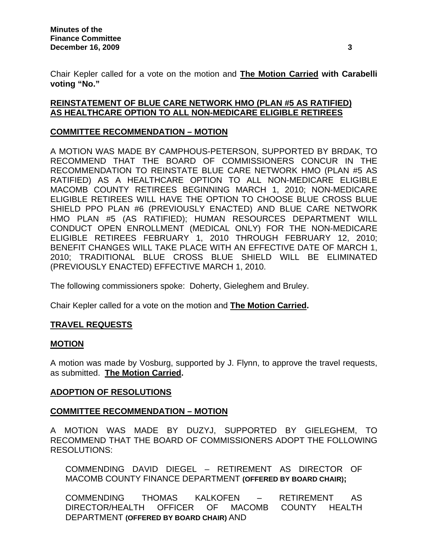Chair Kepler called for a vote on the motion and **The Motion Carried with Carabelli voting "No."**

# **REINSTATEMENT OF BLUE CARE NETWORK HMO (PLAN #5 AS RATIFIED) AS HEALTHCARE OPTION TO ALL NON-MEDICARE ELIGIBLE RETIREES**

# **COMMITTEE RECOMMENDATION – MOTION**

A MOTION WAS MADE BY CAMPHOUS-PETERSON, SUPPORTED BY BRDAK, TO RECOMMEND THAT THE BOARD OF COMMISSIONERS CONCUR IN THE RECOMMENDATION TO REINSTATE BLUE CARE NETWORK HMO (PLAN #5 AS RATIFIED) AS A HEALTHCARE OPTION TO ALL NON-MEDICARE ELIGIBLE MACOMB COUNTY RETIREES BEGINNING MARCH 1, 2010; NON-MEDICARE ELIGIBLE RETIREES WILL HAVE THE OPTION TO CHOOSE BLUE CROSS BLUE SHIELD PPO PLAN #6 (PREVIOUSLY ENACTED) AND BLUE CARE NETWORK HMO PLAN #5 (AS RATIFIED); HUMAN RESOURCES DEPARTMENT WILL CONDUCT OPEN ENROLLMENT (MEDICAL ONLY) FOR THE NON-MEDICARE ELIGIBLE RETIREES FEBRUARY 1, 2010 THROUGH FEBRUARY 12, 2010; BENEFIT CHANGES WILL TAKE PLACE WITH AN EFFECTIVE DATE OF MARCH 1, 2010; TRADITIONAL BLUE CROSS BLUE SHIELD WILL BE ELIMINATED (PREVIOUSLY ENACTED) EFFECTIVE MARCH 1, 2010.

The following commissioners spoke: Doherty, Gieleghem and Bruley.

Chair Kepler called for a vote on the motion and **The Motion Carried.**

# **TRAVEL REQUESTS**

# **MOTION**

A motion was made by Vosburg, supported by J. Flynn, to approve the travel requests, as submitted. **The Motion Carried.** 

## **ADOPTION OF RESOLUTIONS**

# **COMMITTEE RECOMMENDATION – MOTION**

A MOTION WAS MADE BY DUZYJ, SUPPORTED BY GIELEGHEM, TO RECOMMEND THAT THE BOARD OF COMMISSIONERS ADOPT THE FOLLOWING RESOLUTIONS:

COMMENDING DAVID DIEGEL – RETIREMENT AS DIRECTOR OF MACOMB COUNTY FINANCE DEPARTMENT **(OFFERED BY BOARD CHAIR);** 

COMMENDING THOMAS KALKOFEN – RETIREMENT AS DIRECTOR/HEALTH OFFICER OF MACOMB COUNTY HEALTH DEPARTMENT **(OFFERED BY BOARD CHAIR)** AND